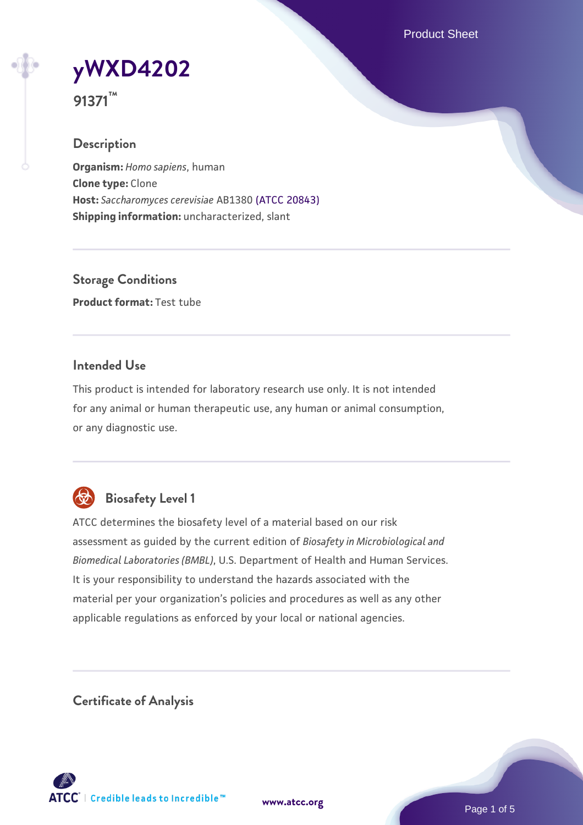Product Sheet



**91371™**

## **Description**

**Organism:** *Homo sapiens*, human **Clone type:** Clone **Host:** *Saccharomyces cerevisiae* AB1380 [\(ATCC 20843\)](https://www.atcc.org/products/20843) **Shipping information:** uncharacterized, slant

**Storage Conditions Product format:** Test tube

## **Intended Use**

This product is intended for laboratory research use only. It is not intended for any animal or human therapeutic use, any human or animal consumption, or any diagnostic use.



# **Biosafety Level 1**

ATCC determines the biosafety level of a material based on our risk assessment as guided by the current edition of *Biosafety in Microbiological and Biomedical Laboratories (BMBL)*, U.S. Department of Health and Human Services. It is your responsibility to understand the hazards associated with the material per your organization's policies and procedures as well as any other applicable regulations as enforced by your local or national agencies.

**Certificate of Analysis**

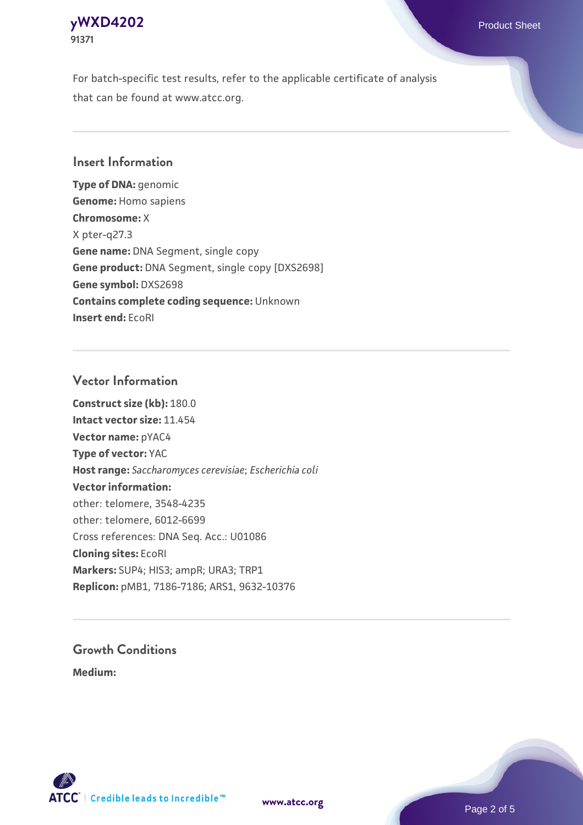## **[yWXD4202](https://www.atcc.org/products/91371)** Product Sheet **91371**

For batch-specific test results, refer to the applicable certificate of analysis that can be found at www.atcc.org.

## **Insert Information**

**Type of DNA:** genomic **Genome:** Homo sapiens **Chromosome:** X X pter-q27.3 **Gene name:** DNA Segment, single copy **Gene product:** DNA Segment, single copy [DXS2698] **Gene symbol:** DXS2698 **Contains complete coding sequence:** Unknown **Insert end:** EcoRI

## **Vector Information**

**Construct size (kb):** 180.0 **Intact vector size:** 11.454 **Vector name:** pYAC4 **Type of vector:** YAC **Host range:** *Saccharomyces cerevisiae*; *Escherichia coli* **Vector information:** other: telomere, 3548-4235 other: telomere, 6012-6699 Cross references: DNA Seq. Acc.: U01086 **Cloning sites:** EcoRI **Markers:** SUP4; HIS3; ampR; URA3; TRP1 **Replicon:** pMB1, 7186-7186; ARS1, 9632-10376

# **Growth Conditions**

**Medium:** 



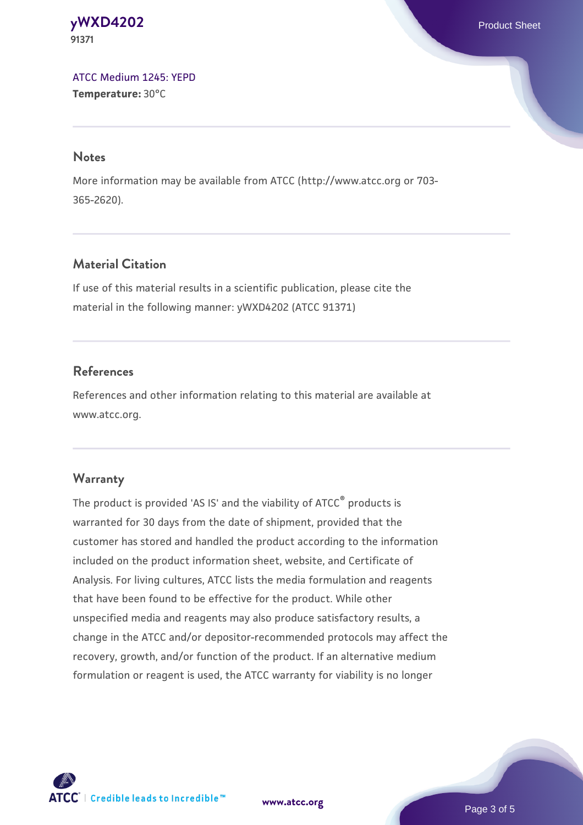### **[yWXD4202](https://www.atcc.org/products/91371)** Product Sheet **91371**

[ATCC Medium 1245: YEPD](https://www.atcc.org/-/media/product-assets/documents/microbial-media-formulations/1/2/4/5/atcc-medium-1245.pdf?rev=705ca55d1b6f490a808a965d5c072196) **Temperature:** 30°C

#### **Notes**

More information may be available from ATCC (http://www.atcc.org or 703- 365-2620).

# **Material Citation**

If use of this material results in a scientific publication, please cite the material in the following manner: yWXD4202 (ATCC 91371)

# **References**

References and other information relating to this material are available at www.atcc.org.

# **Warranty**

The product is provided 'AS IS' and the viability of ATCC® products is warranted for 30 days from the date of shipment, provided that the customer has stored and handled the product according to the information included on the product information sheet, website, and Certificate of Analysis. For living cultures, ATCC lists the media formulation and reagents that have been found to be effective for the product. While other unspecified media and reagents may also produce satisfactory results, a change in the ATCC and/or depositor-recommended protocols may affect the recovery, growth, and/or function of the product. If an alternative medium formulation or reagent is used, the ATCC warranty for viability is no longer



**[www.atcc.org](http://www.atcc.org)**

Page 3 of 5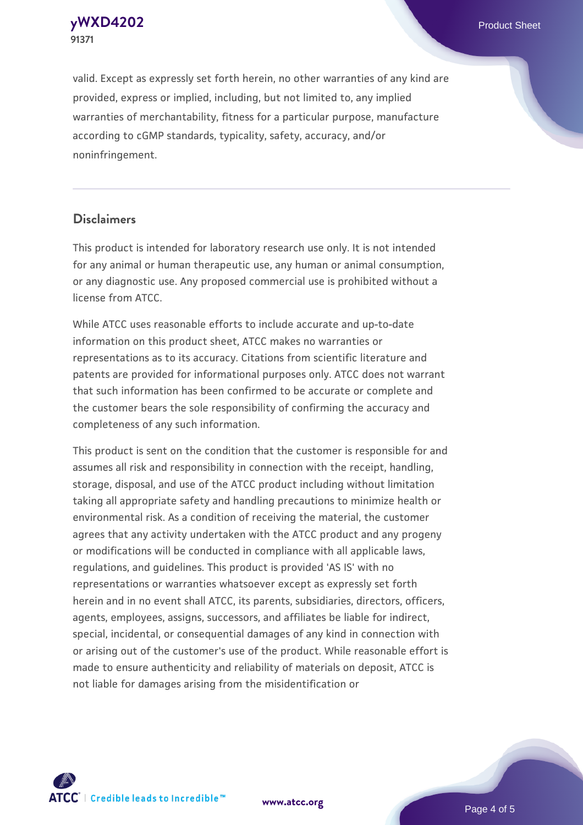**[yWXD4202](https://www.atcc.org/products/91371)** Product Sheet **91371**

valid. Except as expressly set forth herein, no other warranties of any kind are provided, express or implied, including, but not limited to, any implied warranties of merchantability, fitness for a particular purpose, manufacture according to cGMP standards, typicality, safety, accuracy, and/or noninfringement.

#### **Disclaimers**

This product is intended for laboratory research use only. It is not intended for any animal or human therapeutic use, any human or animal consumption, or any diagnostic use. Any proposed commercial use is prohibited without a license from ATCC.

While ATCC uses reasonable efforts to include accurate and up-to-date information on this product sheet, ATCC makes no warranties or representations as to its accuracy. Citations from scientific literature and patents are provided for informational purposes only. ATCC does not warrant that such information has been confirmed to be accurate or complete and the customer bears the sole responsibility of confirming the accuracy and completeness of any such information.

This product is sent on the condition that the customer is responsible for and assumes all risk and responsibility in connection with the receipt, handling, storage, disposal, and use of the ATCC product including without limitation taking all appropriate safety and handling precautions to minimize health or environmental risk. As a condition of receiving the material, the customer agrees that any activity undertaken with the ATCC product and any progeny or modifications will be conducted in compliance with all applicable laws, regulations, and guidelines. This product is provided 'AS IS' with no representations or warranties whatsoever except as expressly set forth herein and in no event shall ATCC, its parents, subsidiaries, directors, officers, agents, employees, assigns, successors, and affiliates be liable for indirect, special, incidental, or consequential damages of any kind in connection with or arising out of the customer's use of the product. While reasonable effort is made to ensure authenticity and reliability of materials on deposit, ATCC is not liable for damages arising from the misidentification or



**[www.atcc.org](http://www.atcc.org)**

Page 4 of 5